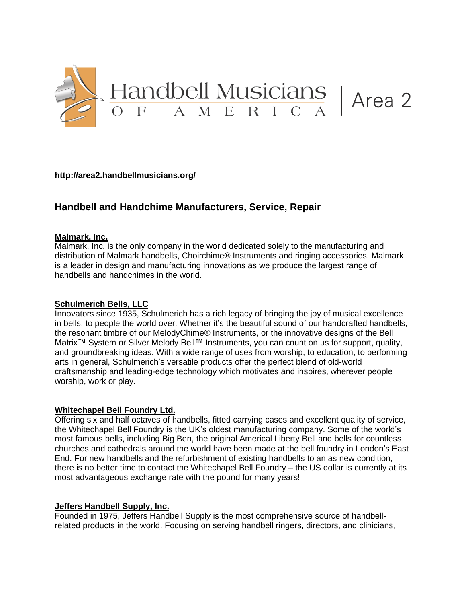

**<http://area2.handbellmusicians.org/>**

# **Handbell and Handchime Manufacturers, Service, Repair**

### **Malmark, Inc.**

Malmark, Inc. is the only company in the world dedicated solely to the manufacturing and distribution of Malmark handbells, Choirchime® Instruments and ringing accessories. Malmark is a leader in design and manufacturing innovations as we produce the largest range of handbells and handchimes in the world.

## **Schulmerich Bells, LLC**

Innovators since 1935, Schulmerich has a rich legacy of bringing the joy of musical excellence in bells, to people the world over. Whether it's the beautiful sound of our handcrafted handbells, the resonant timbre of our MelodyChime® Instruments, or the innovative designs of the Bell Matrix<sup>™</sup> System or Silver Melody Bell™ Instruments, you can count on us for support, quality, and groundbreaking ideas. With a wide range of uses from worship, to education, to performing arts in general, Schulmerich's versatile products offer the perfect blend of old-world craftsmanship and leading-edge technology which motivates and inspires, wherever people worship, work or play.

### **Whitechapel Bell Foundry Ltd.**

Offering six and half octaves of handbells, fitted carrying cases and excellent quality of service, the Whitechapel Bell Foundry is the UK's oldest manufacturing company. Some of the world's most famous bells, including Big Ben, the original Americal Liberty Bell and bells for countless churches and cathedrals around the world have been made at the bell foundry in London's East End. For new handbells and the refurbishment of existing handbells to an as new condition, there is no better time to contact the Whitechapel Bell Foundry – the US dollar is currently at its most advantageous exchange rate with the pound for many years!

### **Jeffers Handbell Supply, Inc.**

Founded in 1975, Jeffers Handbell Supply is the most comprehensive source of handbellrelated products in the world. Focusing on serving handbell ringers, directors, and clinicians,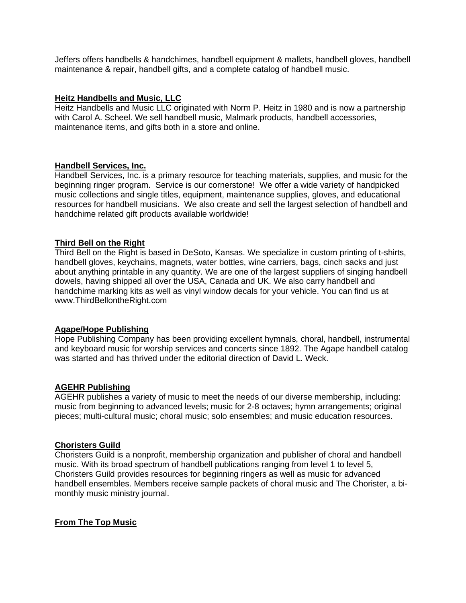Jeffers offers handbells & handchimes, handbell equipment & mallets, handbell gloves, handbell maintenance & repair, handbell gifts, and a complete catalog of handbell music.

### **Heitz Handbells and Music, LLC**

Heitz Handbells and Music LLC originated with Norm P. Heitz in 1980 and is now a partnership with Carol A. Scheel. We sell handbell music, Malmark products, handbell accessories, maintenance items, and gifts both in a store and online.

### **Handbell Services, Inc.**

Handbell Services, Inc. is a primary resource for teaching materials, supplies, and music for the beginning ringer program. Service is our cornerstone! We offer a wide variety of handpicked music collections and single titles, equipment, maintenance supplies, gloves, and educational resources for handbell musicians. We also create and sell the largest selection of handbell and handchime related gift products available worldwide!

### **Third Bell on the Right**

Third Bell on the Right is based in DeSoto, Kansas. We specialize in custom printing of t-shirts, handbell gloves, keychains, magnets, water bottles, wine carriers, bags, cinch sacks and just about anything printable in any quantity. We are one of the largest suppliers of singing handbell dowels, having shipped all over the USA, Canada and UK. We also carry handbell and handchime marking kits as well as vinyl window decals for your vehicle. You can find us at [www.ThirdBellontheRight.com](http://www.thirdbellontheright.com/)

### **Agape/Hope Publishing**

Hope Publishing Company has been providing excellent hymnals, choral, handbell, instrumental and keyboard music for worship services and concerts since 1892. The Agape handbell catalog was started and has thrived under the editorial direction of David L. Weck.

# **AGEHR Publishing**

AGEHR publishes a variety of music to meet the needs of our diverse membership, including: music from beginning to advanced levels; music for 2-8 octaves; hymn arrangements; original pieces; multi-cultural music; choral music; solo ensembles; and music education resources.

### **Choristers Guild**

Choristers Guild is a nonprofit, membership organization and publisher of choral and handbell music. With its broad spectrum of handbell publications ranging from level 1 to level 5, Choristers Guild provides resources for beginning ringers as well as music for advanced handbell ensembles. Members receive sample packets of choral music and The Chorister, a bimonthly music ministry journal.

### **From The Top Music**